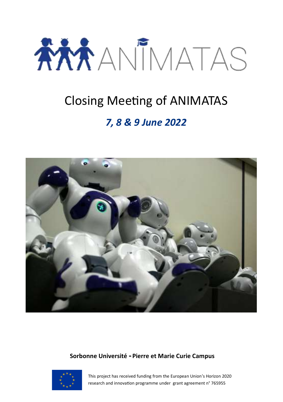

# Closing Meeting of ANIMATAS

### *7, 8 & 9 June 2022*



#### **Sorbonne Université - Pierre et Marie Curie Campus**



This project has received funding from the European Union's Horizon 2020 research and innovation programme under grant agreement n° 765955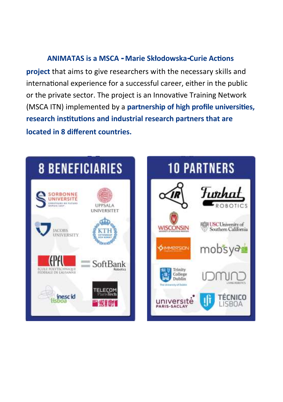#### **ANIMATAS is a MSCA - Marie Skłodowska-Curie Actions**

**project** that aims to give researchers with the necessary skills and international experience for a successful career, either in the public or the private sector. The project is an Innovative Training Network (MSCA ITN) implemented by a **partnership of high profile universities, research institutions and industrial research partners that are located in 8 different countries.**



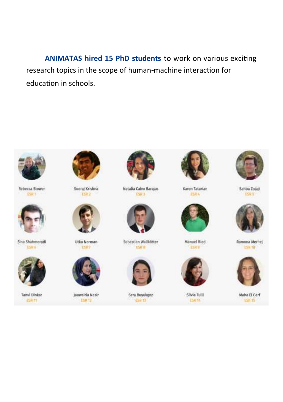**ANIMATAS hired 15 PhD students** to work on various exciting research topics in the scope of human-machine interaction for education in schools.



Rebecca Stower **CSILT** 



Sina Shahmoradi **ESIT 6** 



Tanvi Dinkar **ESR 11** 



Sooraj Krishna ESD<sub>2</sub>



Utku Norman **ESIT** 



Jauwairia Nasir ESR 12



Natalia Calvo Barajas **ESR3** 



Sebastian Wallkötter **ESR** 



Sera Buyukgoz ESN 17



Karen Tatarian **DSR &** 



Manuel Bied ESRP



Silvia Tulli ESR<sub>TA</sub>



Sahba Zojaji **ESR S** 



Ramona Merhej **ESR 10** 



Maha El Garf **ESIT 15**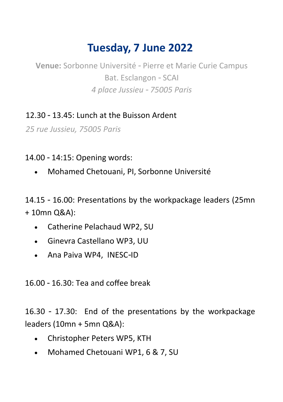## **Tuesday, 7 June 2022**

**Venue:** Sorbonne Université - Pierre et Marie Curie Campus Bat. Esclangon - SCAI *4 place Jussieu - 75005 Paris*

12.30 - 13.45: Lunch at the Buisson Ardent

*25 rue Jussieu, 75005 Paris*

14.00 - 14:15: Opening words:

Mohamed Chetouani, PI, Sorbonne Université

14.15 - 16.00: Presentations by the workpackage leaders (25mn + 10mn Q&A):

- Catherine Pelachaud WP2, SU
- Ginevra Castellano WP3, UU
- Ana Paiva WP4, INESC-ID

16.00 - 16.30: Tea and coffee break

16.30 - 17.30: End of the presentations by the workpackage leaders (10mn + 5mn Q&A):

- Christopher Peters WP5, KTH
- Mohamed Chetouani WP1, 6 & 7, SU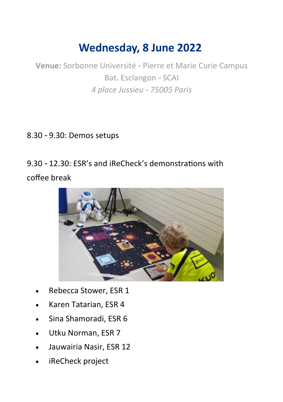## **Wednesday, 8 June 2022**

**Venue:** Sorbonne Université - Pierre et Marie Curie Campus Bat. Esclangon - SCAI *4 place Jussieu - 75005 Paris*

#### 8.30 - 9.30: Demos setups

9.30 - 12.30: ESR's and iReCheck's demonstrations with coffee break



- Rebecca Stower, ESR 1
- Karen Tatarian, ESR 4
- Sina Shamoradi, ESR 6
- Utku Norman, ESR 7
- Jauwairia Nasir, ESR 12
- iReCheck project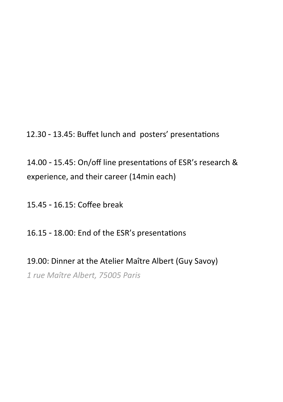12.30 - 13.45: Buffet lunch and posters' presentations

14.00 - 15.45: On/off line presentations of ESR's research & experience, and their career (14min each)

15.45 - 16.15: Coffee break

16.15 - 18.00: End of the ESR's presentations

19.00: Dinner at the Atelier Maître Albert (Guy Savoy) *1 rue Maître Albert, 75005 Paris*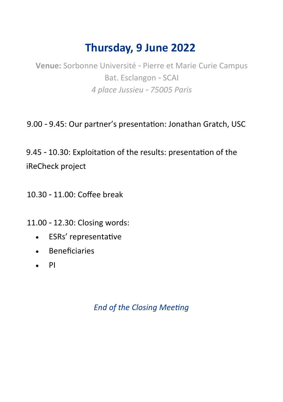## **Thursday, 9 June 2022**

**Venue:** Sorbonne Université - Pierre et Marie Curie Campus Bat. Esclangon - SCAI *4 place Jussieu - 75005 Paris*

9.00 - 9.45: Our partner's presentation: Jonathan Gratch, USC

9.45 - 10.30: Exploitation of the results: presentation of the iReCheck project

10.30 - 11.00: Coffee break

11.00 - 12.30: Closing words:

- ESRs' representative
- Beneficiaries
- $\bullet$  PI

*End of the Closing Meeting*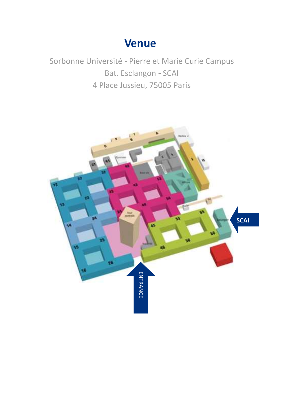### **Venue**

Sorbonne Université - Pierre et Marie Curie Campus Bat. Esclangon - SCAI 4 Place Jussieu, 75005 Paris